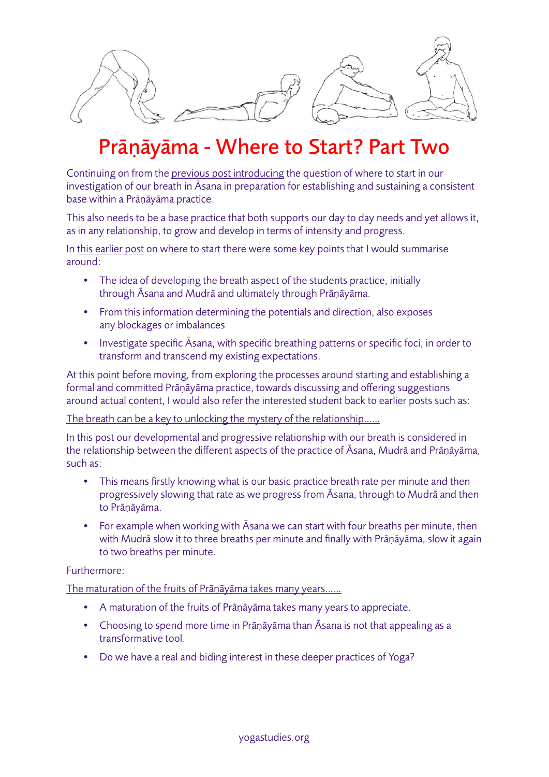

## Prāṇāyāma - Where to Start? Part Two

Continuing on from the [previous post introducing](http://www.yogastudies.org/2015/08/pranayama-where-to-start/) the question of where to start in our investigation of our breath in Āsana in preparation for establishing and sustaining a consistent base within a Prāṇāyāma practice.

This also needs to be a base practice that both supports our day to day needs and yet allows it, as in any relationship, to grow and develop in terms of intensity and progress.

In [this earlier](http://www.yogastudies.org/2015/08/pranayama-where-to-start/) post on where to start there were some key points that I would summarise around:

- The idea of developing the breath aspect of the students practice, initially through Āsana and Mudrā and ultimately through Prāṇāyāma.
- From this information determining the potentials and direction, also exposes any blockages or imbalances
- Investigate specific Āsana, with specific breathing patterns or specific foci, in order to transform and transcend my existing expectations.

At this point before moving, from exploring the processes around starting and establishing a formal and committed Prāṇāyāma practice, towards discussing and offering suggestions around actual content, I would also refer the interested student back to earlier posts such as:

[The breath can be a key to unlocking the mystery of the relationship……](http://www.yogastudies.org/2014/11/breath-can-key-unlocking-mystery-relationship-body-breath-mind-beyond/)

In this post our developmental and progressive relationship with our breath is considered in the relationship between the different aspects of the practice of Āsana, Mudrā and Prāṇāyāma, such as:

- This means firstly knowing what is our basic practice breath rate per minute and then progressively slowing that rate as we progress from Āsana, through to Mudrā and then to Prāṇāyāma.
- For example when working with Asana we can start with four breaths per minute, then with Mudrā slow it to three breaths per minute and finally with Prāṇāyāma, slow it again to two breaths per minute.

## Furthermore:

[The maturation of the fruits of Pr](http://www.yogastudies.org/2015/05/the-maturation-of-the-fruits-of-pranayama-takes-many-years/)āṇāyāma takes many years……

- A maturation of the fruits of Prāṇāyāma takes many years to appreciate.
- Choosing to spend more time in Prāṇāyāma than Āsana is not that appealing as a transformative tool.
- Do we have a real and biding interest in these deeper practices of Yoga?